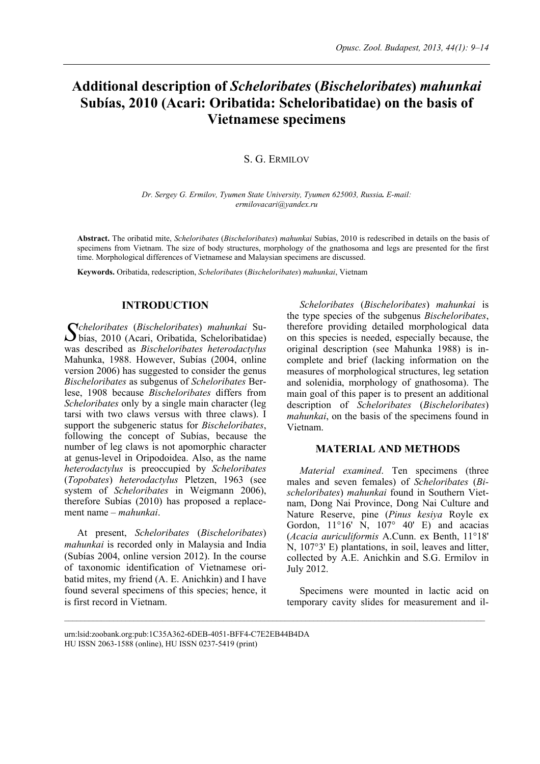# **Additional description of** *Scheloribates* **(***Bischeloribates***)** *mahunkai* **Subías, 2010 (Acari: Oribatida: Scheloribatidae) on the basis of Vietnamese specimens**

## S. G. ERMILOV

*Dr. Sergey G. Ermilov, Tyumen State University, Tyumen 625003, Russia. E-mail: ermilovacari@yandex.ru* 

**Abstract.** The oribatid mite, *Scheloribates* (*Bischeloribates*) *mahunkai* Subías, 2010 is redescribed in details on the basis of specimens from Vietnam. The size of body structures, morphology of the gnathosoma and legs are presented for the first time. Morphological differences of Vietnamese and Malaysian specimens are discussed.

**Keywords.** Oribatida, redescription, *Scheloribates* (*Bischeloribates*) *mahunkai*, Vietnam

# **INTRODUCTION**

*cheloribates* (*Bischeloribates*) *mahunkai* Su- $S<sup>cheloribates</sup>$  (*Bischeloribates*) mahunkai Su-<br>bías, 2010 (Acari, Oribatida, Scheloribatidae) was described as *Bischeloribates heterodactylus* Mahunka, 1988. However, Subías (2004, online version 2006) has suggested to consider the genus *Bischeloribates* as subgenus of *Scheloribates* Berlese, 1908 because *Bischeloribates* differs from *Scheloribates* only by a single main character (leg tarsi with two claws versus with three claws). I support the subgeneric status for *Bischeloribates*, following the concept of Subías, because the number of leg claws is not apomorphic character at genus-level in Oripodoidea. Also, as the name *heterodactylus* is preoccupied by *Scheloribates* (*Topobates*) *heterodactylus* Pletzen, 1963 (see system of *Scheloribates* in Weigmann 2006), therefore Subías (2010) has proposed a replacement name – *mahunkai*.

At present, *Scheloribates* (*Bischeloribates*) *mahunkai* is recorded only in Malaysia and India (Subías 2004, online version 2012). In the course of taxonomic identification of Vietnamese oribatid mites, my friend (A. E. Anichkin) and I have found several specimens of this species; hence, it is first record in Vietnam.

*Scheloribates* (*Bischeloribates*) *mahunkai* is the type species of the subgenus *Bischeloribates*, therefore providing detailed morphological data on this species is needed, especially because, the original description (see Mahunka 1988) is incomplete and brief (lacking information on the measures of morphological structures, leg setation and solenidia, morphology of gnathosoma). The main goal of this paper is to present an additional description of *Scheloribates* (*Bischeloribates*) *mahunkai*, on the basis of the specimens found in

## **MATERIAL AND METHODS**

*Material examined*. Ten specimens (three males and seven females) of *Scheloribates* (*Bischeloribates*) *mahunkai* found in Southern Vietnam, Dong Nai Province, Dong Nai Culture and Nature Reserve, pine (*Pinus kesiya* Royle ex Gordon,  $11^{\circ}16'$  N,  $107^{\circ}$  40' E) and acacias (*Acacia auriculiformis* A.Cunn. ex Benth, 11°18' N, 107°3' E) plantations, in soil, leaves and litter, collected by A.E. Anichkin and S.G. Ermilov in July 2012.

Specimens were mounted in lactic acid on temporary cavity slides for measurement and il-

Vietnam.

urn:lsid:zoobank.org:pub:1C35A362-6DEB-4051-BFF4-C7E2EB44B4DA HU ISSN 2063-1588 (online), HU ISSN 0237-5419 (print)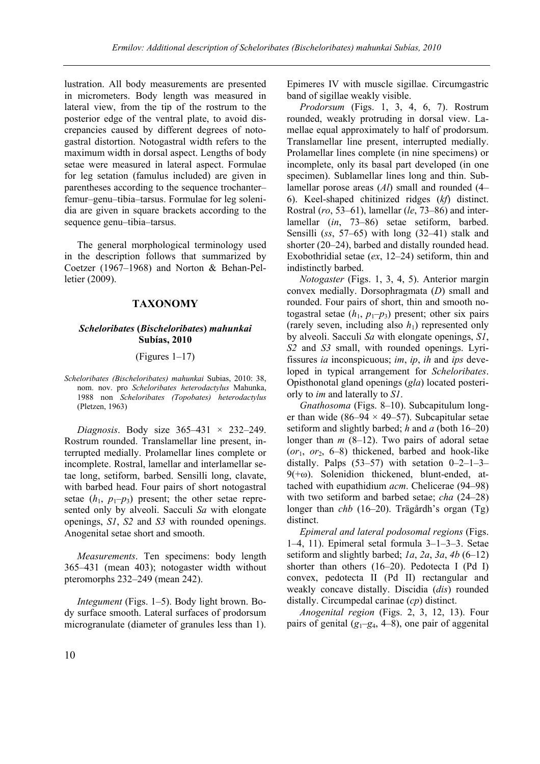lustration. All body measurements are presented in micrometers. Body length was measured in lateral view, from the tip of the rostrum to the posterior edge of the ventral plate, to avoid discrepancies caused by different degrees of notogastral distortion. Notogastral width refers to the maximum width in dorsal aspect. Lengths of body setae were measured in lateral aspect. Formulae for leg setation (famulus included) are given in parentheses according to the sequence trochanter– femur–genu–tibia–tarsus. Formulae for leg solenidia are given in square brackets according to the sequence genu–tibia–tarsus.

The general morphological terminology used in the description follows that summarized by Coetzer (1967–1968) and Norton & Behan-Pelletier (2009).

# **TAXONOMY**

#### *Scheloribates* **(***Bischeloribates***)** *mahunkai* **Subías, 2010**

#### (Figures 1–17)

*Scheloribates (Bischeloribates) mahunkai* Subias, 2010: 38, nom. nov. pro *Scheloribates heterodactylus* Mahunka, 1988 non *Scheloribates (Topobates) heterodactylus* (Pletzen, 1963)

*Diagnosis*. Body size 365–431 × 232–249. Rostrum rounded. Translamellar line present, interrupted medially. Prolamellar lines complete or incomplete. Rostral, lamellar and interlamellar setae long, setiform, barbed. Sensilli long, clavate, with barbed head. Four pairs of short notogastral setae  $(h_1, p_1-p_3)$  present; the other setae represented only by alveoli. Sacculi *Sa* with elongate openings, *S1*, *S2* and *S3* with rounded openings. Anogenital setae short and smooth.

*Measurements*. Ten specimens: body length 365–431 (mean 403); notogaster width without pteromorphs 232–249 (mean 242).

*Integument* (Figs. 1–5). Body light brown. Body surface smooth. Lateral surfaces of prodorsum microgranulate (diameter of granules less than 1).

Epimeres IV with muscle sigillae. Circumgastric band of sigillae weakly visible.

*Prodorsum* (Figs. 1, 3, 4, 6, 7). Rostrum rounded, weakly protruding in dorsal view. Lamellae equal approximately to half of prodorsum. Translamellar line present, interrupted medially. Prolamellar lines complete (in nine specimens) or incomplete, only its basal part developed (in one specimen). Sublamellar lines long and thin. Sublamellar porose areas (*Al*) small and rounded (4– 6). Keel-shaped chitinized ridges (*kf*) distinct. Rostral (*ro*, 53–61), lamellar (*le*, 73–86) and interlamellar (*in*, 73–86) setae setiform, barbed. Sensilli (*ss*, 57–65) with long (32–41) stalk and shorter (20–24), barbed and distally rounded head. Exobothridial setae (*ex*, 12–24) setiform, thin and indistinctly barbed.

*Notogaster* (Figs. 1, 3, 4, 5). Anterior margin convex medially. Dorsophragmata (*D*) small and rounded. Four pairs of short, thin and smooth notogastral setae  $(h_1, p_1-p_3)$  present; other six pairs (rarely seven, including also  $h_1$ ) represented only by alveoli. Sacculi *Sa* with elongate openings, *S1*, *S2* and *S3* small, with rounded openings. Lyrifissures *ia* inconspicuous; *im*, *ip*, *ih* and *ips* developed in typical arrangement for *Scheloribates*. Opisthonotal gland openings (*gla*) located posteriorly to *im* and laterally to *S1*.

*Gnathosoma* (Figs. 8–10). Subcapitulum longer than wide (86–94  $\times$  49–57). Subcapitular setae setiform and slightly barbed; *h* and *a* (both 16–20) longer than *m* (8–12). Two pairs of adoral setae  $(or<sub>1</sub>, or<sub>2</sub>, 6–8)$  thickened, barbed and hook-like distally. Palps  $(53-57)$  with setation  $0-2-1-3 9(+\omega)$ . Solenidion thickened, blunt-ended, attached with eupathidium *acm*. Chelicerae (94–98) with two setiform and barbed setae; *cha* (24–28) longer than *chb* (16–20). Trägårdh's organ (Tg) distinct.

*Epimeral and lateral podosomal regions* (Figs. 1–4, 11). Epimeral setal formula 3–1–3–3. Setae setiform and slightly barbed; *1a*, *2a*, *3a*, *4b* (6–12) shorter than others (16–20). Pedotecta I (Pd I) convex, pedotecta II (Pd II) rectangular and weakly concave distally. Discidia (*dis*) rounded distally. Circumpedal carinae (*cp*) distinct.

*Anogenital region* (Figs. 2, 3, 12, 13). Four pairs of genital  $(g_1-g_4, 4-8)$ , one pair of aggenital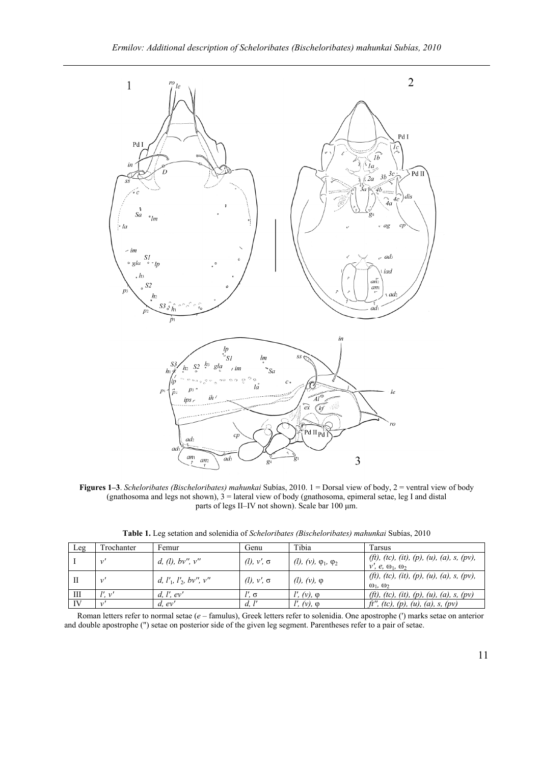

**Figures 1–3**. *Scheloribates (Bischeloribates) mahunkai* Subías, 2010. 1 = Dorsal view of body, 2 = ventral view of body (gnathosoma and legs not shown),  $3 =$  lateral view of body (gnathosoma, epimeral setae, leg I and distal parts of legs II–IV not shown). Scale bar 100 µm.

**Table 1.** Leg setation and solenidia of *Scheloribates (Bischeloribates) mahunkai* Subías, 2010

| Leg | Frochanter   | Femur                                   | Genu                    | Tibia                                           | Tarsus                                                                   |
|-----|--------------|-----------------------------------------|-------------------------|-------------------------------------------------|--------------------------------------------------------------------------|
|     | $\mathbf{v}$ | d, (l), bv'', v''                       | $(l)$ , $v'$ , $\sigma$ | ( <i>l</i> ), $(v)$ , $\varphi_1$ , $\varphi_2$ | (ft), (tc), (it), (p), (u), (a), s, (pv),<br>$v', e, \omega_1, \omega_2$ |
| П   |              | d, $l'_{1}$ , $l'_{2}$ , $bv''$ , $v''$ | $(l)$ , $v'$ , $\sigma$ | ( <i>l</i> ), $(v)$ , $\varphi$                 | (ft), (tc), (it), (p), (u), (a), s, (pv),<br>$\omega_1$ , $\omega_2$     |
| Ш   | !'. ν'       | d, l', ev'                              | $l'$ , $\sigma$         | $(\iota, (\nu), \varphi)$                       | (ft), (tc), (it), (p), (u), (a), s, (pv)                                 |
| IV  |              | $d.$ ev'                                | d, I'                   | $l'$ , $(v)$ , $\varphi$                        | ft'', (tc), (p), (u), (a), s, (pv)                                       |

Roman letters refer to normal setae (*e* – famulus), Greek letters refer to solenidia. One apostrophe (') marks setae on anterior and double apostrophe (") setae on posterior side of the given leg segment. Parentheses refer to a pair of setae.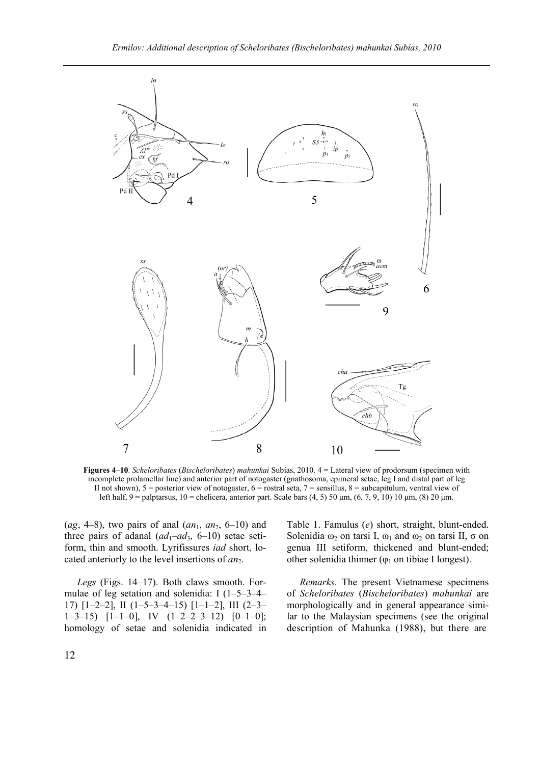

**Figures 4–10**. *Scheloribates* (*Bischeloribates*) *mahunkai* Subías, 2010. 4 = Lateral view of prodorsum (specimen with incomplete prolamellar line) and anterior part of notogaster (gnathosoma, epimeral setae, leg I and distal part of leg II not shown),  $5 =$  posterior view of notogaster,  $6 =$  rostral seta,  $7 =$  sensillus,  $8 =$  subcapitulum, ventral view of left half, 9 = palptarsus, 10 = chelicera, anterior part. Scale bars (4, 5) 50 µm, (6, 7, 9, 10) 10 µm, (8) 20 µm.

 $(ag, 4-8)$ , two pairs of anal  $(an_1, an_2, 6-10)$  and three pairs of adanal  $(ad_1-ad_3, 6-10)$  setae setiform, thin and smooth. Lyrifissures *iad* short, located anteriorly to the level insertions of *an*2.

*Legs* (Figs. 14–17). Both claws smooth. Formulae of leg setation and solenidia: I (1–5–3–4– 17) [1–2–2], II (1–5–3–4–15) [1–1–2], III (2–3–  $1-3-15$ )  $[1-1-0]$ , IV  $(1-2-2-3-12)$   $[0-1-0]$ ; homology of setae and solenidia indicated in

Table 1. Famulus (*e*) short, straight, blunt-ended. Solenidia  $ω_2$  on tarsi I,  $ω_1$  and  $ω_2$  on tarsi II,  $σ$  on genua III setiform, thickened and blunt-ended; other solenidia thinner ( $\varphi_1$  on tibiae I longest).

*Remarks*. The present Vietnamese specimens of *Scheloribates* (*Bischeloribates*) *mahunkai* are morphologically and in general appearance similar to the Malaysian specimens (see the original description of Mahunka (1988), but there are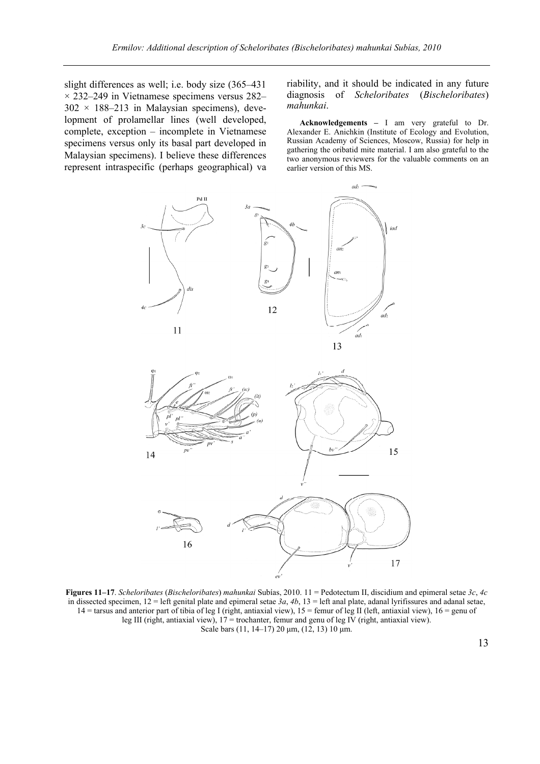slight differences as well; i.e. body size (365–431  $\times$  232–249 in Vietnamese specimens versus 282–  $302 \times 188 - 213$  in Malaysian specimens), development of prolamellar lines (well developed, complete, exception – incomplete in Vietnamese specimens versus only its basal part developed in Malaysian specimens). I believe these differences represent intraspecific (perhaps geographical) va

riability, and it should be indicated in any future diagnosis of *Scheloribates* (*Bischeloribates*) *mahunkai*.

**Acknowledgements –** I am very grateful to Dr. Alexander E. Anichkin (Institute of Ecology and Evolution, Russian Academy of Sciences, Moscow, Russia) for help in gathering the oribatid mite material. I am also grateful to the two anonymous reviewers for the valuable comments on an earlier version of this MS.

17



**Figures 11–17**. *Scheloribates* (*Bischeloribates*) *mahunkai* Subías, 2010. 11 = Pedotectum II, discidium and epimeral setae *3c*, *4c* in dissected specimen,  $12 = \text{left}$  genital plate and epimeral setae  $3a$ ,  $4b$ ,  $13 = \text{left}$  anal plate, adanal lyrifissures and adanal setae, 14 = tarsus and anterior part of tibia of leg I (right, antiaxial view), 15 = femur of leg II (left, antiaxial view), 16 = genu of leg III (right, antiaxial view), 17 = trochanter, femur and genu of leg IV (right, antiaxial view). Scale bars (11, 14–17) 20 µm, (12, 13) 10 µm.

16

13